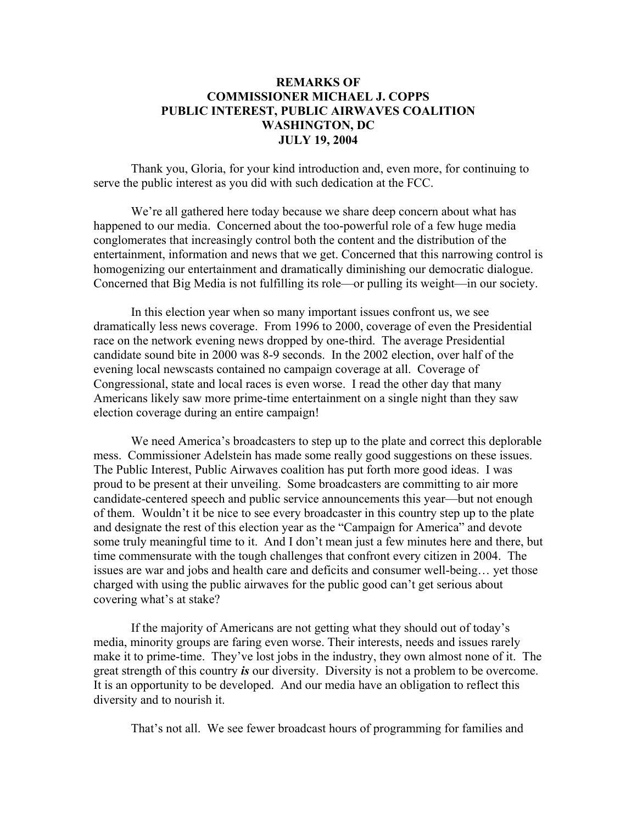## **REMARKS OF COMMISSIONER MICHAEL J. COPPS PUBLIC INTEREST, PUBLIC AIRWAVES COALITION WASHINGTON, DC JULY 19, 2004**

Thank you, Gloria, for your kind introduction and, even more, for continuing to serve the public interest as you did with such dedication at the FCC.

We're all gathered here today because we share deep concern about what has happened to our media. Concerned about the too-powerful role of a few huge media conglomerates that increasingly control both the content and the distribution of the entertainment, information and news that we get. Concerned that this narrowing control is homogenizing our entertainment and dramatically diminishing our democratic dialogue. Concerned that Big Media is not fulfilling its role—or pulling its weight—in our society.

In this election year when so many important issues confront us, we see dramatically less news coverage. From 1996 to 2000, coverage of even the Presidential race on the network evening news dropped by one-third. The average Presidential candidate sound bite in 2000 was 8-9 seconds. In the 2002 election, over half of the evening local newscasts contained no campaign coverage at all. Coverage of Congressional, state and local races is even worse. I read the other day that many Americans likely saw more prime-time entertainment on a single night than they saw election coverage during an entire campaign!

We need America's broadcasters to step up to the plate and correct this deplorable mess. Commissioner Adelstein has made some really good suggestions on these issues. The Public Interest, Public Airwaves coalition has put forth more good ideas. I was proud to be present at their unveiling. Some broadcasters are committing to air more candidate-centered speech and public service announcements this year—but not enough of them. Wouldn't it be nice to see every broadcaster in this country step up to the plate and designate the rest of this election year as the "Campaign for America" and devote some truly meaningful time to it. And I don't mean just a few minutes here and there, but time commensurate with the tough challenges that confront every citizen in 2004. The issues are war and jobs and health care and deficits and consumer well-being… yet those charged with using the public airwaves for the public good can't get serious about covering what's at stake?

If the majority of Americans are not getting what they should out of today's media, minority groups are faring even worse. Their interests, needs and issues rarely make it to prime-time. They've lost jobs in the industry, they own almost none of it. The great strength of this country *is* our diversity. Diversity is not a problem to be overcome. It is an opportunity to be developed. And our media have an obligation to reflect this diversity and to nourish it.

That's not all. We see fewer broadcast hours of programming for families and